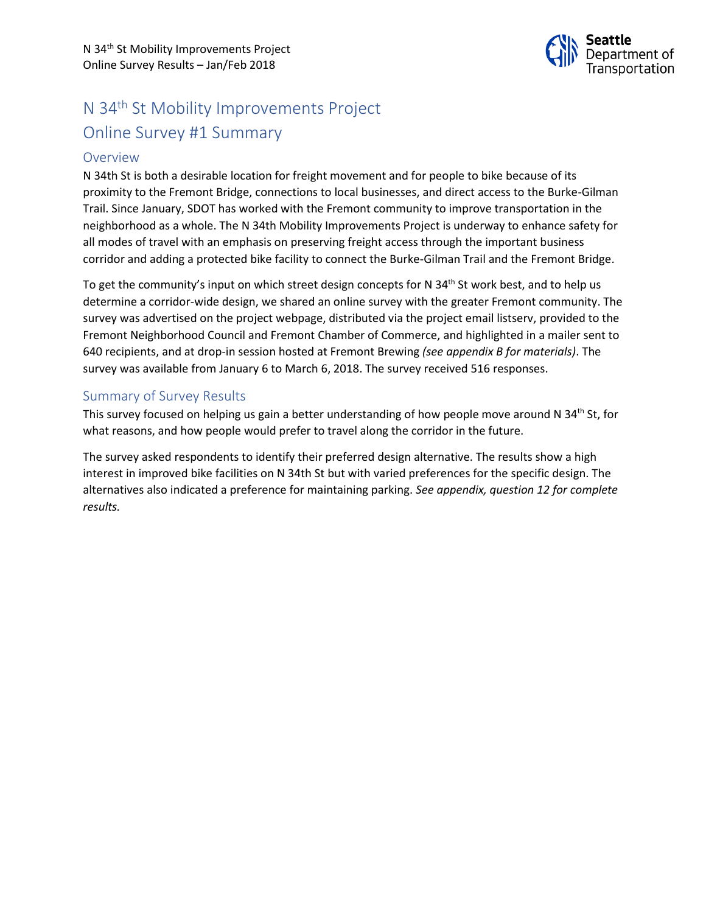

# N 34th St Mobility Improvements Project Online Survey #1 Summary

## Overview

N 34th St is both a desirable location for freight movement and for people to bike because of its proximity to the Fremont Bridge, connections to local businesses, and direct access to the Burke-Gilman Trail. Since January, SDOT has worked with the Fremont community to improve transportation in the neighborhood as a whole. The N 34th Mobility Improvements Project is underway to enhance safety for all modes of travel with an emphasis on preserving freight access through the important business corridor and adding a protected bike facility to connect the Burke-Gilman Trail and the Fremont Bridge.

To get the community's input on which street design concepts for N 34<sup>th</sup> St work best, and to help us determine a corridor-wide design, we shared an online survey with the greater Fremont community. The survey was advertised on the project webpage, distributed via the project email listserv, provided to the Fremont Neighborhood Council and Fremont Chamber of Commerce, and highlighted in a mailer sent to 640 recipients, and at drop-in session hosted at Fremont Brewing *(see appendix B for materials)*. The survey was available from January 6 to March 6, 2018. The survey received 516 responses.

## Summary of Survey Results

This survey focused on helping us gain a better understanding of how people move around N 34<sup>th</sup> St, for what reasons, and how people would prefer to travel along the corridor in the future.

The survey asked respondents to identify their preferred design alternative. The results show a high interest in improved bike facilities on N 34th St but with varied preferences for the specific design. The alternatives also indicated a preference for maintaining parking. *See appendix, question 12 for complete results.*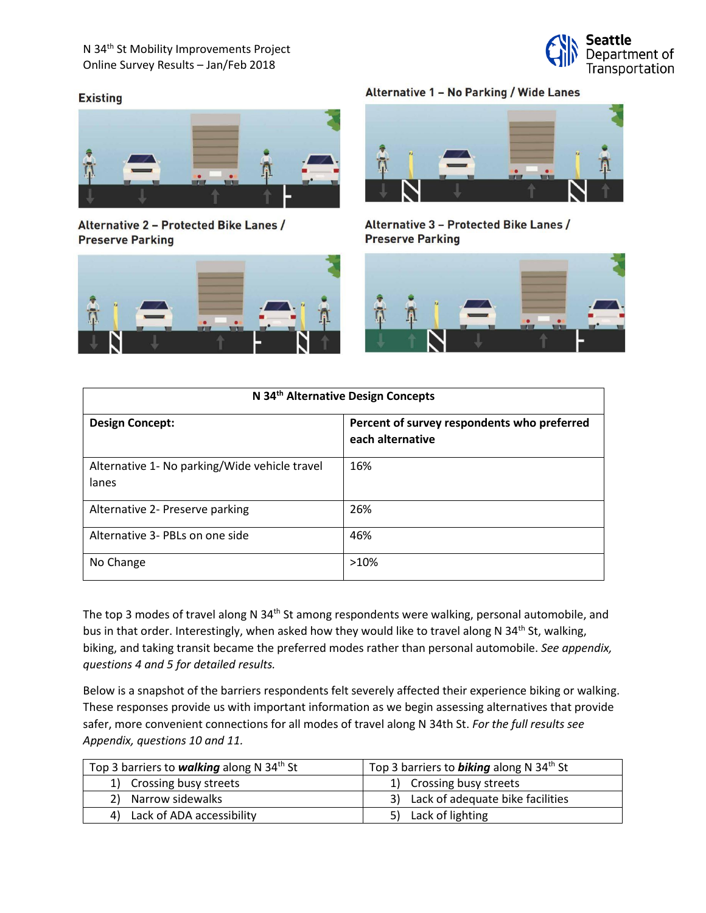

### **Existing**



Alternative 2 - Protected Bike Lanes / **Preserve Parking** 



## Alternative 1 - No Parking / Wide Lanes



Alternative 3 - Protected Bike Lanes / **Preserve Parking** 



| N 34th Alternative Design Concepts                     |                                                                 |  |
|--------------------------------------------------------|-----------------------------------------------------------------|--|
| <b>Design Concept:</b>                                 | Percent of survey respondents who preferred<br>each alternative |  |
| Alternative 1- No parking/Wide vehicle travel<br>lanes | 16%                                                             |  |
| Alternative 2- Preserve parking                        | 26%                                                             |  |
| Alternative 3- PBLs on one side                        | 46%                                                             |  |
| No Change                                              | >10%                                                            |  |

The top 3 modes of travel along N 34<sup>th</sup> St among respondents were walking, personal automobile, and bus in that order. Interestingly, when asked how they would like to travel along N 34<sup>th</sup> St, walking, biking, and taking transit became the preferred modes rather than personal automobile. *See appendix, questions 4 and 5 for detailed results.*

Below is a snapshot of the barriers respondents felt severely affected their experience biking or walking. These responses provide us with important information as we begin assessing alternatives that provide safer, more convenient connections for all modes of travel along N 34th St. *For the full results see Appendix, questions 10 and 11.*

| Top 3 barriers to <b>walking</b> along N 34 <sup>th</sup> St | Top 3 barriers to <b>biking</b> along N 34 <sup>th</sup> St |
|--------------------------------------------------------------|-------------------------------------------------------------|
| 1) Crossing busy streets                                     | 1) Crossing busy streets                                    |
| 2) Narrow sidewalks                                          | 3) Lack of adequate bike facilities                         |
| 4) Lack of ADA accessibility                                 | 5) Lack of lighting                                         |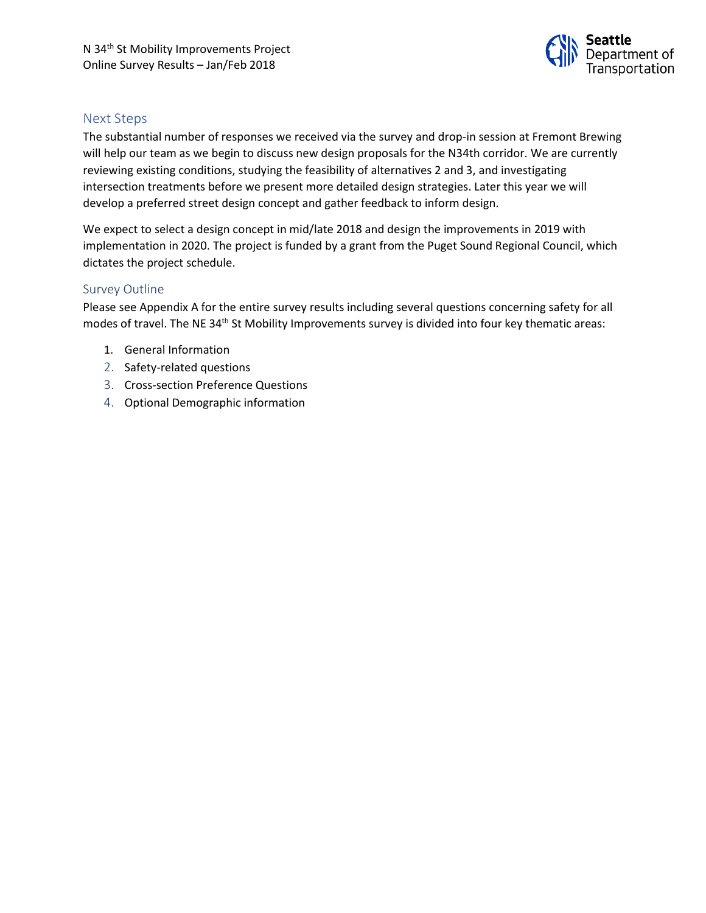

## Next Steps

The substantial number of responses we received via the survey and drop-in session at Fremont Brewing will help our team as we begin to discuss new design proposals for the N34th corridor. We are currently reviewing existing conditions, studying the feasibility of alternatives 2 and 3, and investigating intersection treatments before we present more detailed design strategies. Later this year we will develop a preferred street design concept and gather feedback to inform design.

We expect to select a design concept in mid/late 2018 and design the improvements in 2019 with implementation in 2020. The project is funded by a grant from the Puget Sound Regional Council, which dictates the project schedule.

#### Survey Outline

Please see Appendix A for the entire survey results including several questions concerning safety for all modes of travel. The NE 34<sup>th</sup> St Mobility Improvements survey is divided into four key thematic areas:

- 1. General Information
- 2. Safety-related questions
- 3. Cross-section Preference Questions
- 4. Optional Demographic information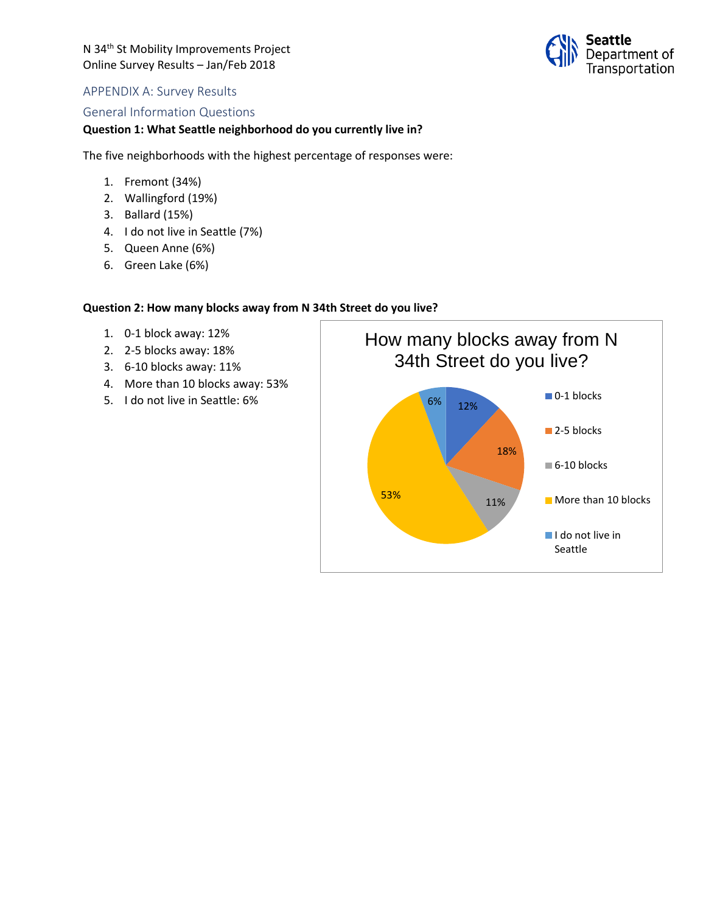

## APPENDIX A: Survey Results

#### General Information Questions

### **Question 1: What Seattle neighborhood do you currently live in?**

The five neighborhoods with the highest percentage of responses were:

- 1. Fremont (34%)
- 2. Wallingford (19%)
- 3. Ballard (15%)
- 4. I do not live in Seattle (7%)
- 5. Queen Anne (6%)
- 6. Green Lake (6%)

#### **Question 2: How many blocks away from N 34th Street do you live?**

- 1. 0-1 block away: 12%
- 2. 2-5 blocks away: 18%
- 3. 6-10 blocks away: 11%
- 4. More than 10 blocks away: 53%
- 

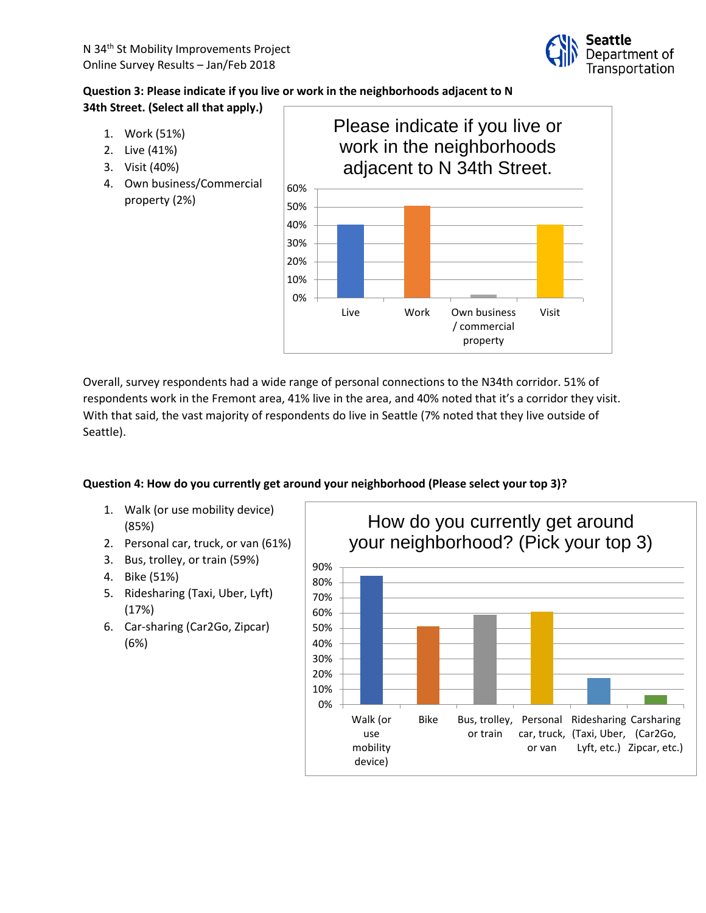

# **Question 3: Please indicate if you live or work in the neighborhoods adjacent to N 34th Street. (Select all that apply.)**

- 1. Work (51%)
- 2. Live (41%)
- 3. Visit (40%)
- 4. Own business/Commercial property (2%)



Overall, survey respondents had a wide range of personal connections to the N34th corridor. 51% of respondents work in the Fremont area, 41% live in the area, and 40% noted that it's a corridor they visit. With that said, the vast majority of respondents do live in Seattle (7% noted that they live outside of Seattle).

# **Question 4: How do you currently get around your neighborhood (Please select your top 3)?**

- 1. Walk (or use mobility device) (85%)
- 2. Personal car, truck, or van (61%)
- 3. Bus, trolley, or train (59%)
- 4. Bike (51%)
- 5. Ridesharing (Taxi, Uber, Lyft) (17%)
- 6. Car-sharing (Car2Go, Zipcar) (6%)

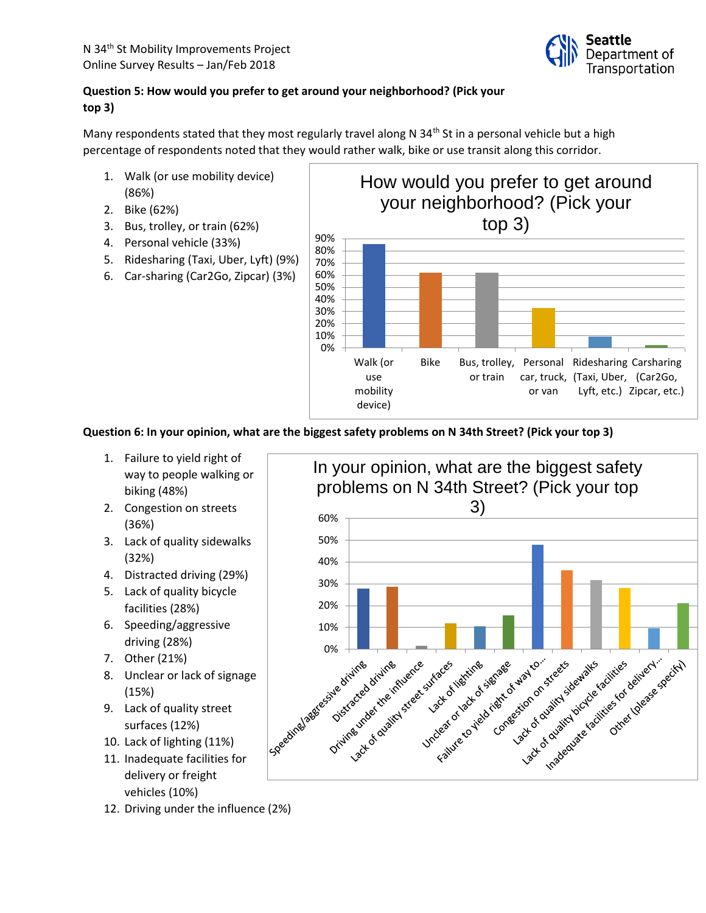

# **Question 5: How would you prefer to get around your neighborhood? (Pick your top 3)**

Many respondents stated that they most regularly travel along N 34<sup>th</sup> St in a personal vehicle but a high percentage of respondents noted that they would rather walk, bike or use transit along this corridor.

- 1. Walk (or use mobility device) (86%)
- 2. Bike (62%)
- 3. Bus, trolley, or train (62%)
- 4. Personal vehicle (33%)
- 5. Ridesharing (Taxi, Uber, Lyft) (9%)
- 6. Car-sharing (Car2Go, Zipcar) (3%)



**Question 6: In your opinion, what are the biggest safety problems on N 34th Street? (Pick your top 3)**

- 1. Failure to yield right of way to people walking or biking (48%)
- 2. Congestion on streets (36%)
- 3. Lack of quality sidewalks (32%)
- 4. Distracted driving (29%)
- 5. Lack of quality bicycle facilities (28%)
- 6. Speeding/aggressive driving (28%)
- 7. Other (21%)
- 8. Unclear or lack of signage (15%)
- 9. Lack of quality street surfaces (12%)
- 10. Lack of lighting (11%)
- 11. Inadequate facilities for delivery or freight vehicles (10%)
- 12. Driving under the influence (2%)

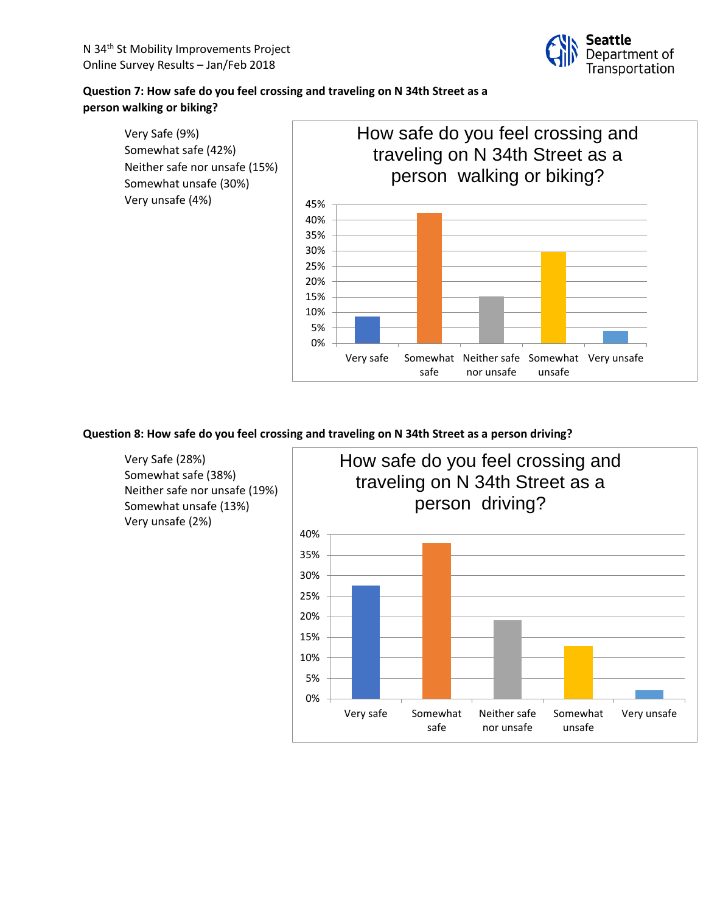

# **Question 7: How safe do you feel crossing and traveling on N 34th Street as a person walking or biking?**



## **Question 8: How safe do you feel crossing and traveling on N 34th Street as a person driving?**

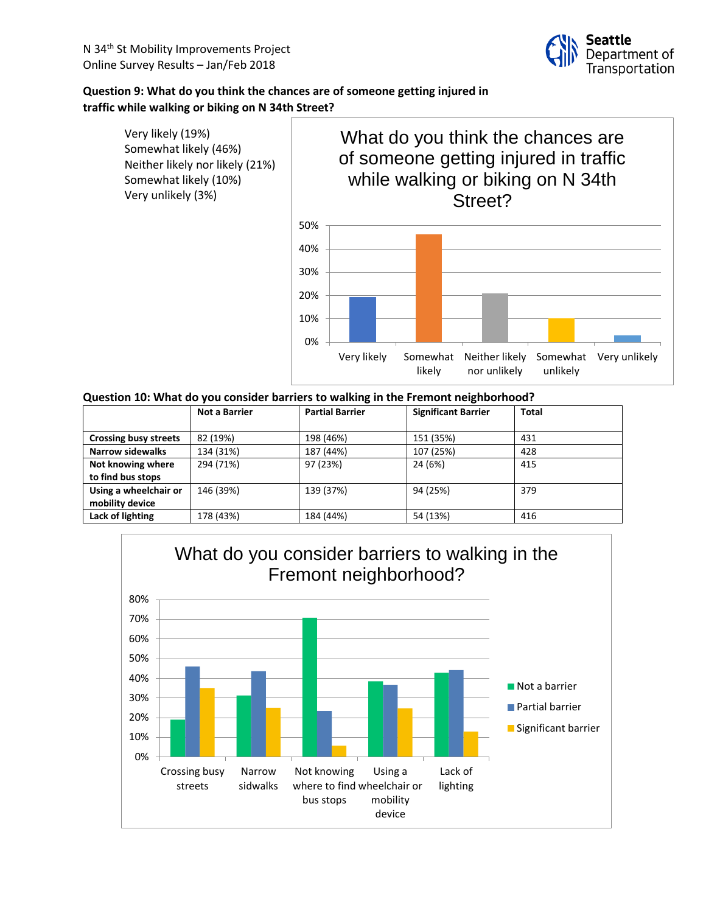## **Question 9: What do you think the chances are of someone getting injured in traffic while walking or biking on N 34th Street?**



### **Question 10: What do you consider barriers to walking in the Fremont neighborhood?**

| <b>Not a Barrier</b> | <b>Partial Barrier</b> | <b>Significant Barrier</b> | <b>Total</b> |
|----------------------|------------------------|----------------------------|--------------|
|                      |                        |                            |              |
| 82 (19%)             | 198 (46%)              | 151 (35%)                  | 431          |
| 134 (31%)            | 187 (44%)              | 107 (25%)                  | 428          |
| 294 (71%)            | 97 (23%)               | 24 (6%)                    | 415          |
|                      |                        |                            |              |
| 146 (39%)            | 139 (37%)              | 94 (25%)                   | 379          |
|                      |                        |                            |              |
| 178 (43%)            | 184 (44%)              | 54 (13%)                   | 416          |
|                      |                        |                            |              |

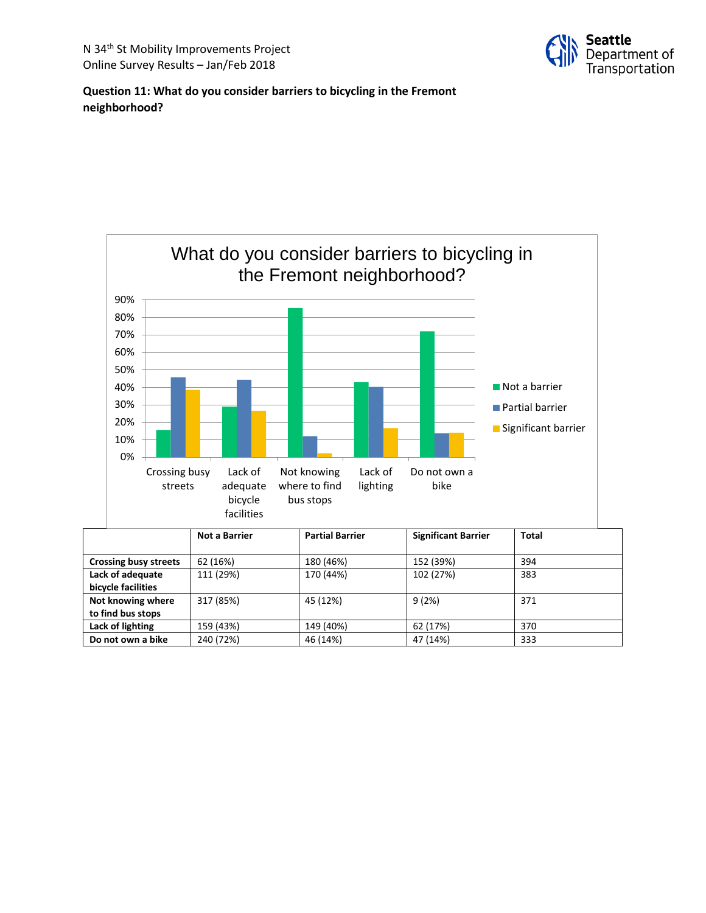

## **Question 11: What do you consider barriers to bicycling in the Fremont neighborhood?**



| <b>Crossing busy streets</b> | 62 (16%)  | 180 (46%) | 152 (39%) | 394 |
|------------------------------|-----------|-----------|-----------|-----|
| Lack of adequate             | 111 (29%) | 170 (44%) | 102 (27%) | 383 |
| bicycle facilities           |           |           |           |     |
| Not knowing where            | 317 (85%) | 45 (12%)  | 9(2%)     | 371 |
| to find bus stops            |           |           |           |     |
| Lack of lighting             | 159 (43%) | 149 (40%) | 62 (17%)  | 370 |
| Do not own a bike            | 240 (72%) | 46 (14%)  | 47 (14%)  | 333 |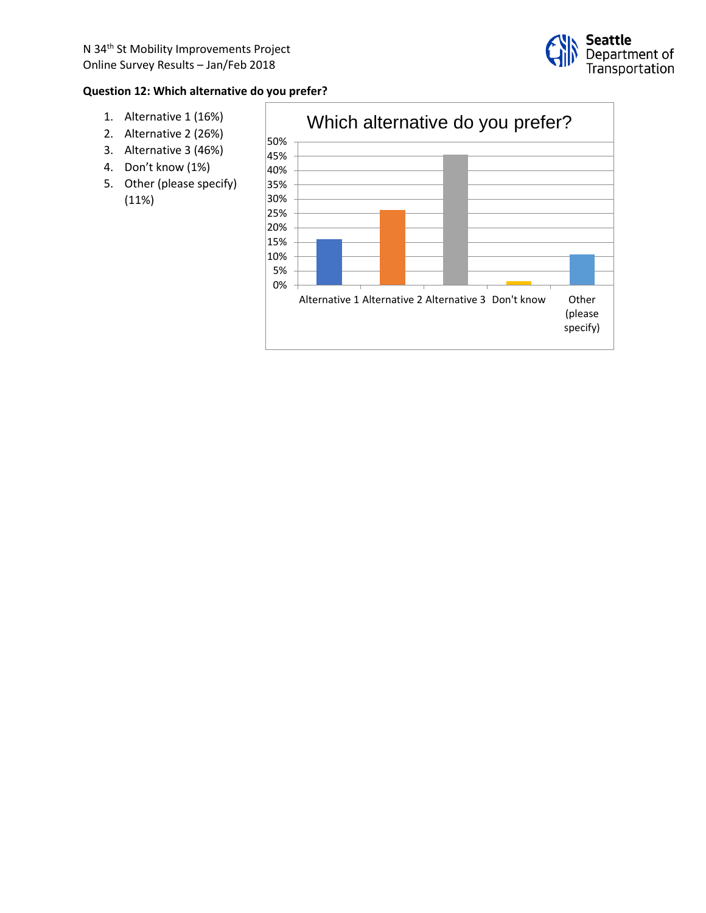

## **Question 12: Which alternative do you prefer?**

- 1. Alternative 1 (16%)
- 2. Alternative 2 (26%)
- 3. Alternative 3 (46%)
- 4. Don't know (1%)
- 5. Other (please specify) (11%)

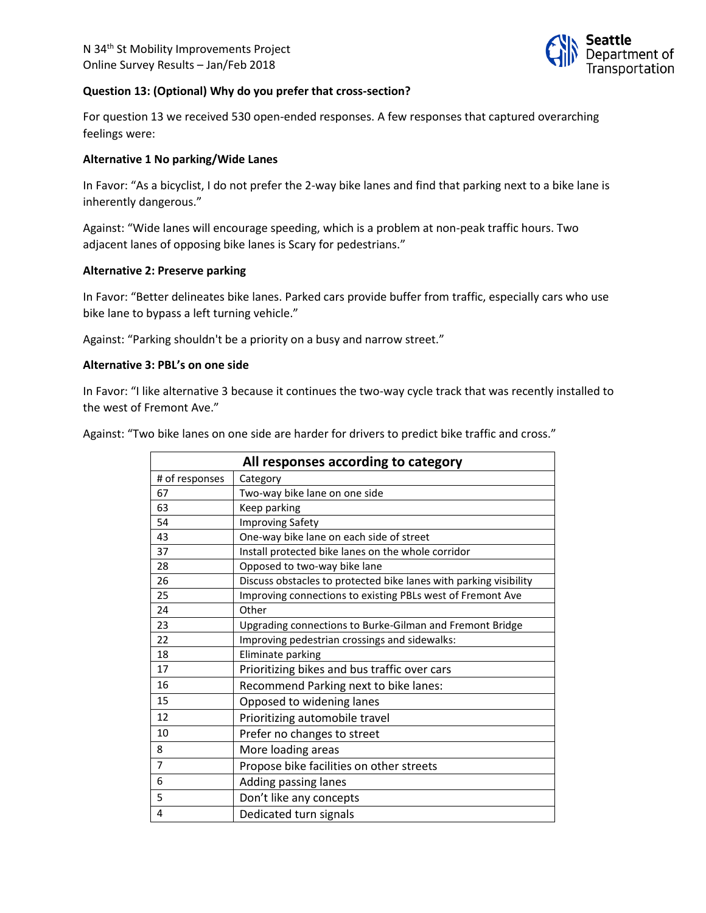

#### **Question 13: (Optional) Why do you prefer that cross-section?**

For question 13 we received 530 open-ended responses. A few responses that captured overarching feelings were:

#### **Alternative 1 No parking/Wide Lanes**

In Favor: "As a bicyclist, I do not prefer the 2-way bike lanes and find that parking next to a bike lane is inherently dangerous."

Against: "Wide lanes will encourage speeding, which is a problem at non-peak traffic hours. Two adjacent lanes of opposing bike lanes is Scary for pedestrians."

#### **Alternative 2: Preserve parking**

In Favor: "Better delineates bike lanes. Parked cars provide buffer from traffic, especially cars who use bike lane to bypass a left turning vehicle."

Against: "Parking shouldn't be a priority on a busy and narrow street."

#### **Alternative 3: PBL's on one side**

In Favor: "I like alternative 3 because it continues the two-way cycle track that was recently installed to the west of Fremont Ave."

Against: "Two bike lanes on one side are harder for drivers to predict bike traffic and cross."

| All responses according to category |                                                                   |  |
|-------------------------------------|-------------------------------------------------------------------|--|
| # of responses                      | Category                                                          |  |
| 67                                  | Two-way bike lane on one side                                     |  |
| 63                                  | Keep parking                                                      |  |
| 54                                  | <b>Improving Safety</b>                                           |  |
| 43                                  | One-way bike lane on each side of street                          |  |
| 37                                  | Install protected bike lanes on the whole corridor                |  |
| 28                                  | Opposed to two-way bike lane                                      |  |
| 26                                  | Discuss obstacles to protected bike lanes with parking visibility |  |
| 25                                  | Improving connections to existing PBLs west of Fremont Ave        |  |
| 24                                  | Other                                                             |  |
| 23                                  | Upgrading connections to Burke-Gilman and Fremont Bridge          |  |
| 22                                  | Improving pedestrian crossings and sidewalks:                     |  |
| 18                                  | Eliminate parking                                                 |  |
| 17                                  | Prioritizing bikes and bus traffic over cars                      |  |
| 16                                  | Recommend Parking next to bike lanes:                             |  |
| 15                                  | Opposed to widening lanes                                         |  |
| 12                                  | Prioritizing automobile travel                                    |  |
| 10                                  | Prefer no changes to street                                       |  |
| 8                                   | More loading areas                                                |  |
| $\overline{7}$                      | Propose bike facilities on other streets                          |  |
| 6                                   | Adding passing lanes                                              |  |
| 5                                   | Don't like any concepts                                           |  |
| 4                                   | Dedicated turn signals                                            |  |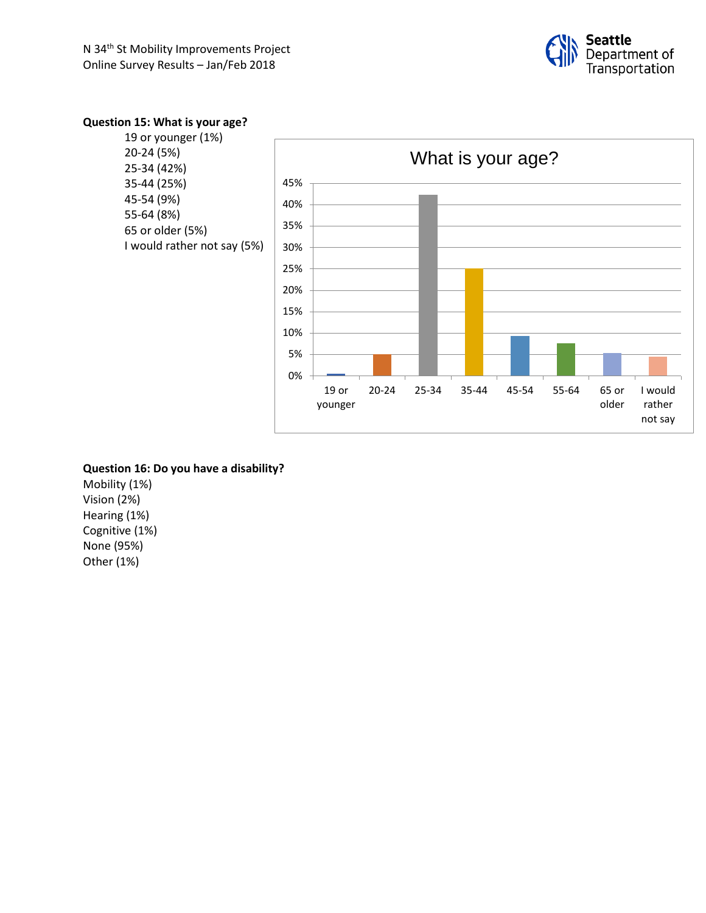

# **Question 15: What is your age?**

| 19 or younger (1%)<br>20-24 (5%)                                                                          | What is your age?                                                                                                     |
|-----------------------------------------------------------------------------------------------------------|-----------------------------------------------------------------------------------------------------------------------|
| 25-34 (42%)<br>35-44 (25%)<br>45-54 (9%)<br>55-64 (8%)<br>65 or older (5%)<br>I would rather not say (5%) | 45%<br>40%<br>35%<br>30%<br>25%<br>20%<br>15%<br>10%<br>5%<br>0%                                                      |
|                                                                                                           | 25-34<br>35-44<br>45-54<br>55-64<br>65 or<br>I would<br>$20 - 24$<br>$19$ or<br>older<br>rather<br>younger<br>not say |

# **Question 16: Do you have a disability?**

Mobility (1%) Vision (2%) Hearing (1%) Cognitive (1%) None (95%) Other (1%)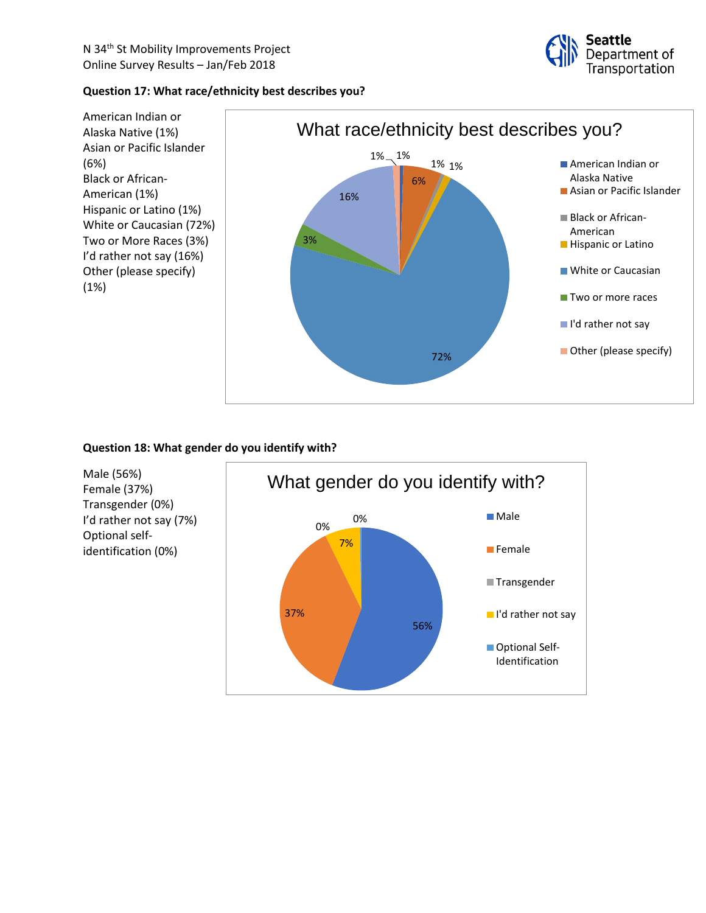

## **Question 17: What race/ethnicity best describes you?**



## **Question 18: What gender do you identify with?**

Male (56%) Female (37%) Transgender (0%) I'd rather not say (7%) Optional selfidentification (0%)

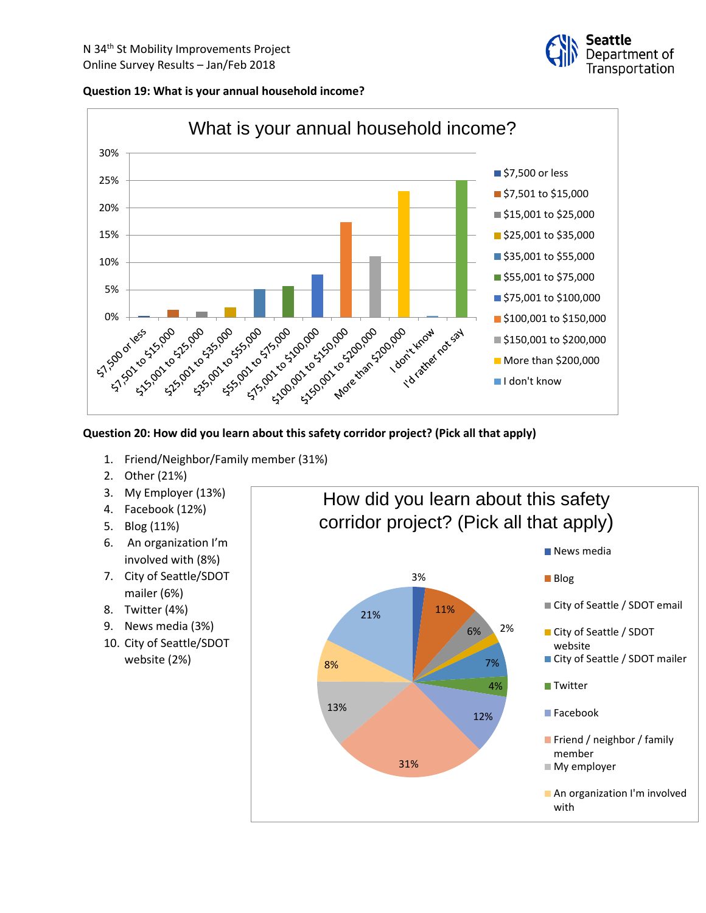





## **Question 20: How did you learn about this safety corridor project? (Pick all that apply)**

- 1. Friend/Neighbor/Family member (31%)
- 2. Other (21%)
- 3. My Employer (13%)
- 4. Facebook (12%)
- 5. Blog (11%)
- 6. An organization I'm involved with (8%)
- 7. City of Seattle/SDOT mailer (6%)
- 8. Twitter (4%)
- 9. News media (3%)
- 10. City of Seattle/SDOT website (2%)

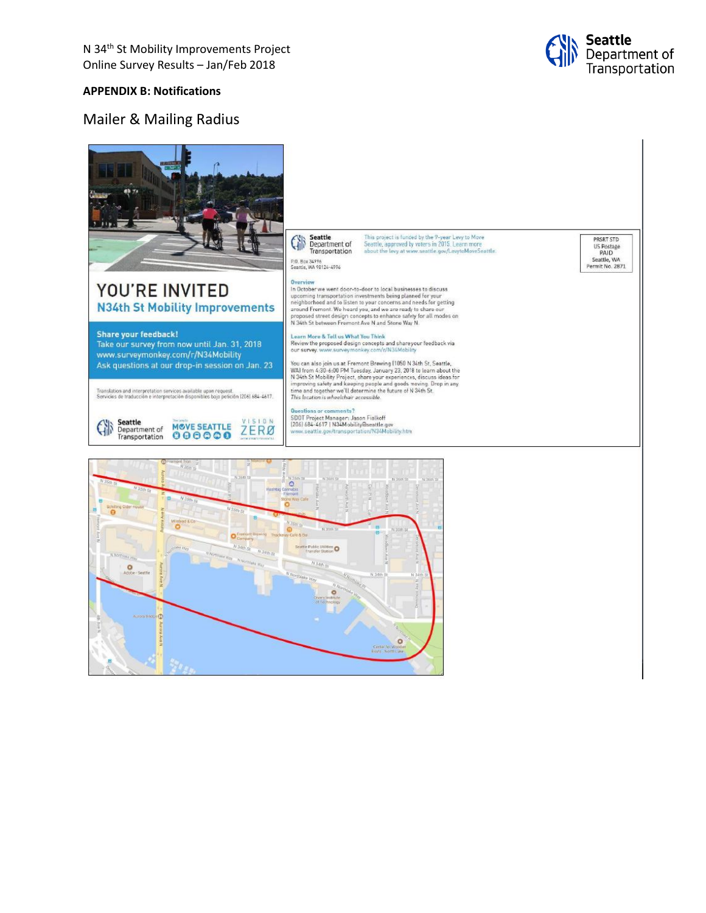

#### **APPENDIX B: Notifications**

# Mailer & Mailing Radius